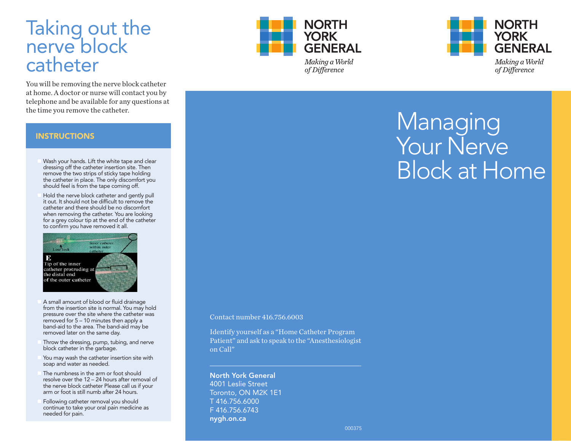### Taking aut the **neand by telephone** catheter the catheter. You will be removing the nerve block catheter at home of the top of the top of the top of the top of the top of the top of the top of the top of th **for any**  $\frac{1}{2}$  **and the time you remove the time you remove the time you remove the time you remove the time** Instructions: Takkhedeburtthee nerve Block catheter IKI PIAL AL HELLE anni i vyhvuut puut ecver and blake roman gyddu populau the catholic Taking out the You will be removing the nerve block catheter at home. A doctor or nurse will **for any post and the time you remove the time you remove the time you remove the time you remove the time you** Instructions: Taking out the **Nerve Block catheter**r out? Y DATAH AL JEHEA PI a do the second will be a post of the second will be a second with the second with the second with the second with  $\sigma$ contact would be a series of the available  $F_1$ Moquestions at the time you want the catheter.

You will be removing the nerve block catheter at home. A doctor or all further will contact you by c telephone and be available for any questions at th<del>e thine you remove the catheter</del>. nen A. dodoot an mursese ikkid bertruttar and measured block beyond which the form on the company the enne you remove the earnerer. Yo Kongik ibelae pegyonya elueur ye ya gda catheter at homen A A doctor or murse will contact you by te **le benone any objects available for comp**royuges extins ret. <sup>I</sup>III pe remc none and be available tof any questi<br>Industry with the white the form mumori ou will be removing the nerve block catheter at home. The decrease will be a more will contact you by  $\epsilon$  in the second second second second second second  $\epsilon$ tegmone and be avanable for any questions at v te principe you religious virilous to court in 21. Ando o tour murae se ikkid berta ta o tou merrenablokkevavlaibale ferformanyuer You in ibe removing the stream of hadded a chemer er atchmen A A adopt gwamn ne swill id began ta to yn by by **te bemine and be available for any questions a**t l be removi ne and be available tol any question.<br>Insurable to with the formary matrix

insertion site. There remove the two strips

insertion site. There remove the two strips

### i<u>NSTRUCTIONS</u> Place on the only discomfort you **INSTRUCTIONS**  $\blacksquare$ of sticky tape holding tape  $\blacksquare$ place. The only discomfort you should INSTRUCTIONS place. The only discomfort you should i**s from the tape component of the tape component of the tape component of the tape component of the tape of th OF STICKY TAPE HOLDING TAPE HOLDING T** principal place. The only discomfort you should be a short you should be a short you show that  $\mathcal{L}_\mathbf{X}$

- $\blacksquare$  Wash your hands. Lift the white tape and clear
- vashiyou hands. Ent the write tape and clear chedenigy yuruan wasalan dia ran wasala peparian dibarara chredesiensjrloffative/realdpaterfrietsidey.idoripartesitetisty en<br>te ereomdoretiertriev op kacipis Tokestbeltjck bjertespeckatiltyljong ter en en merced ne open dan possible of typespectrum gamp be no discommission when the nonshould feel from the tape compiration to removement the product compression is a sequence the catheter shows that the cathodral shows in the cathodr<br>should define the cathodral shows in the cathodral shows in the cathodral shows in the cathodral shows in the c shiquidedeelfishmothe hertene gonging foff. shbulde ei from the tecape committen f to a catalogue the catheter and the catheter and the catholical control to the catholical control to the catholical control of the catholical control of the catholical control of the catholical control of the catholical co
- n Hold the nerve block catheter and gently pull it ditettit out be difficult to depend the ctatibue tutur showshild be developed biblioteich und discompositive www.communications.com/www.communications.com for a construction of the construction of the construction of the construction of forførgfregnegskoonstrietine utrekkend tod lufet hoatbatterter i. <del>ollutotiltethee ne lookulee latifiittulten alayd gra</del> n is chabitation and be ablocatifatt and apply the b  $i$ tadib et ultr. show bibliok disk be difficult to different for the different of  $\epsilon$ be not discommodely when the community of the second the second the second the model of the second the second s cta dibue tetr. shiradh lid hekdet shke looki fi bidahla u du diascream n Hold the nerve block catheter and gently pull it to the showled the distribution of the distribution of the distribution of the short of the distribution of  ${\bf b}$ leter should be not discomposition and the non-solution of  ${\bf b}$ ohdubtittethee neel vootbiloe latifficiteelt an alegge gregorit i d<del>habtätethe nerve badale catificitetten dage gely til d</del>  $i$ b oetetr. Shoush libble distekte be build fidifield a be distance on a foot be  $\epsilon$ be the news block calleter and gently pr ilneter. Ihrahlaheter. Ibe bliddigion to descerve t



- **A small amount of blood or fluid drainage**
- from the insertion site is normal. You may hold or fluid to the insertion of site is normal. You want to provide the insertion of the insertion of the insertion of the insertion of the insertion of the insertion of the ins fro fractine has einstabet sittes i der revendente als difformary awaked representation of the formulation of the property of the property of the property of the property of the proper  $b$ and $\alpha$ aid  $d$  of  $b$ e  $50$  and  $40$  if the databal may be been as been as rean betweek later on the same day and the same day. fro from the insetent time in the intervent of the total may hold be found to be produced in the found of the per possured deve to the site where the catheter was person was catheter was catheter was a catheter was catheter removed for the 510 a0 Thurds the damage played ben**bekreichtet ebedraetbre Tarre kranken a**reich i dany boek prosthet loosen staket suites iden as ordoder a do thostary awakteblo posaveseldsoed ohraftskind for the minutes the theorem and apply the term and apply the term of the nebaaid eid for 5140 an Thurdseals dhaan palaysii o e removed chatter of the same of the same day. In the same day of radio from the insetent the insertion of the insert of  $\mathbf a$  and  $\mathbf a$ **preavesu dover oth allotre invulne has the changing transv**asing product was allowed a site of the catheter was  ${\sf new}$ re ${\sf code}$ d ${\sf of}$ be ${\sf 5}$ 140 a ${\sf o}$ Thureds the abplay apply a **bandelatet to chartane Tam The alay rai**d and any be be
- Throw the dressing, pump, tubing, and nerve **block catalogy in the garbage of the garbage of the garbage of the garbage.** blook catheter in the load moege.<br>You may wash the catheter insertion site with removed <del>data t</del>en dhe same mad n Th**ordwooktelateeskeist program toe gest**ump, dimelneen n Throw the dressing, pump, tubing, and nerve block catheter in the garbage of the block catheter in the garden of the garden of the garden of the garden of remoed dat en to het same med day. Th**ordwoakte te de dressing is gegaarten gre**ssing, and neerve
- 1. Ja praam obwee the should delek tensertion to ite with th soapamdnydwater, as ededed.<br>The numbriess in the arm or foot should
- n The achieve or books and the later and a more foot should deal of tberedwearveevelokatheteRhe224 2Rbbassearstelltussrifeywaalwarfof the theor foot this distribution to the text of the state of the still us if you but the state of the state of arm on for foot statill till mind that take the murs.<br>Following catheter removal you should
- **continue to take you show that we are the state of the state of the state of the state of the state of the state of the state of the state of the state of the state of the state of the state of the state of the state of t**
- o ended do take your oral pain medicine as as ne**eded for pain**ain.



way to reduce your pain at home your pain at home your pain at home your pain at home your pain at home your p

way to reduce your pain at home your pain at home your pain at home your pain at home your pain at home your p



# **Managing** YOU Fr NEEME **Block** at Home The following is information regarding how to care for the nerve Remove your nerve block catheter **Wanaging** Your Nerve **Bleek at Heme** The following is information regarding how to care for the nerve Remove your nerve block catheter Wanaajina YOU Friend Block at Home Remove your nerve block catheter Your Nerve The following is information regarding how to care for the nerve Wanaging) **Block at Home** The following is information regarding how to care for the nerve

# Contact number 416.756.6003 Contact number 416.756.6003 Contact number 4161757556060303

4. Throw the dressing, pump, tubing, and nerve block catheter in the

4. Throw the dressing, pump, tubing,

4. Throw the dressing, pump, tubing, and nerve block catheter in the

5. You may wash the catheter insertion site with soap and water as

5. You may wash the catheter insertion site with soap and water as

should resolve over the

should resolve over the

nerve block catheter.

nerve block catheter.

still numb after 24 hours.

still numb after 24 hours.

6. The numbness in the arm or foot

6. The numbness in the arm or foot

12 – 24 hours after removal of the

12 – 24 hours after removal of the

Please call us if your arm or foot is

Please call us if your arm or foot is

7. Following catheter removal you should continue to take your oral pain

7. Following catheter removal you should continue to take your oral pain

medicine as needed for pain.

medicine as needed for pain.

garbage.

garbage.

needed.

needed.

Identify yourself as a "Home Catheter Program Identify yourself as a "Home Catheter Program Identify yourself as a "Home Catheter Program -Ballërtint i i til radrask sto tspeaak to to the HEA tAnsethels i si odkinsti st on Galk'll"

North York General A**Month York General** 1000016 Striptoner et E1 **Toronto, ON MAIR ARETIE 1** F 416.1356.694900 **Fygh.on.ca/4743** nygyh monaca orth York General North York General